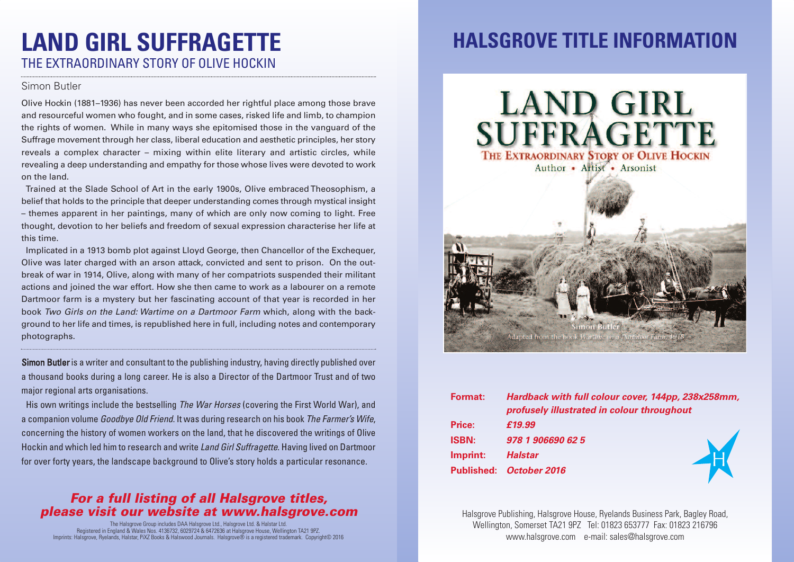### **LAND GIRL SUFFRAGETTE** THE EXTRAORDINARY STORY OF OLIVE HOCKIN

#### Simon Butler

Olive Hockin (1881–1936) has never been accorded her rightful place among those brave and resourceful women who fought, and in some cases, risked life and limb, to champion the rights of women. While in many ways she epitomised those in the vanguard of the Suffrage movement through her class, liberal education and aesthetic principles, her story reveals a complex character – mixing within elite literary and artistic circles, while revealing a deep understanding and empathy for those whose lives were devoted to work on the land.

Trained at the Slade School of Art in the early 1900s, Olive embraced Theosophism, a belief that holds to the principle that deeper understanding comes through mystical insight – themes apparent in her paintings, many of which are only now coming to light. Free thought, devotion to her beliefs and freedom of sexual expression characterise her life at this time.

Implicated in a 1913 bomb plot against Lloyd George, then Chancellor of the Exchequer, Olive was later charged with an arson attack, convicted and sent to prison. On the outbreak of war in 1914, Olive, along with many of her compatriots suspended their militant actions and joined the war effort. How she then came to work as a labourer on a remote Dartmoor farm is a mystery but her fascinating account of that year is recorded in her book *Two Girls on the Land: Wartime on a Dartmoor Farm* which, along with the background to her life and times, is republished here in full, including notes and contemporary photographs.

Simon Butler is a writer and consultant to the publishing industry, having directly published over a thousand books during a long career. He is also a Director of the Dartmoor Trust and of two major regional arts organisations.

His own writings include the bestselling *The War Horses* (covering the First World War), and a companion volume *Goodbye Old Friend*. It was during research on his book *The Farmer's Wife*, concerning the history of women workers on the land, that he discovered the writings of Olive Hockin and which led him to research and write *Land Girl Suffragette*. Having lived on Dartmoor for over forty years, the landscape background to Olive's story holds a particular resonance.

### *For a full listing of all Halsgrove titles, please visit our website at www.halsgrove.com*

The Halsgrove Group includes DAA Halsgrove Ltd., Halsgrove Ltd. & Halstar Ltd.<br>Registered in England & Wales Nos. 4136732, 6029724 & 6472636 at Halsgrove House, Wellington TA21 9PZ.<br>Imprints: Halsgrove, Ryelands, Halstar,

## **HALSGROVE TITLE INFORMATION**



| Format:      | Hardback with full colour cover, 144pp, 238x258mm,<br>profusely illustrated in colour throughout |
|--------------|--------------------------------------------------------------------------------------------------|
| Price:       | £19.99                                                                                           |
| <b>ISBN:</b> | 978 1 906690 62 5                                                                                |
| Imprint:     | <b>Halstar</b>                                                                                   |
|              | Published: October 2016                                                                          |
|              |                                                                                                  |

Halsgrove Publishing, Halsgrove House, Ryelands Business Park, Bagley Road, Wellington, Somerset TA21 9PZ Tel: 01823 653777 Fax: 01823 216796 www.halsgrove.com e-mail: sales@halsgrove.com